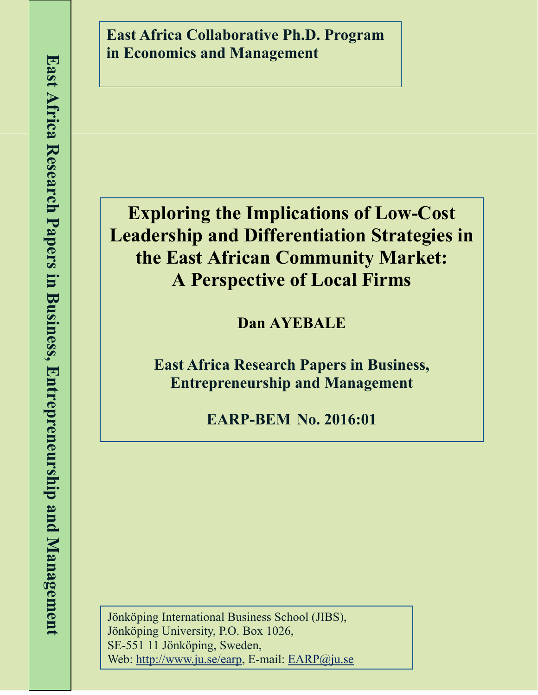**East Africa Collaborative Ph.D. Program in Economics and Management**

# **Exploring the Implications of Low-Cost Leadership and Differentiation Strategies in the East African Community Market: A Perspective of Local Firms**

**Dan AYEBALE** 

**East Africa Research Papers in Business, Entrepreneurship and Management**

**EARP-BEM No. 2016:01**

Jönköping International Business School (JIBS), Jönköping University, P.O. Box 1026, SE-551 11 Jönköping, Sweden, Web: http://www.ju.se/earp, E-mail: EARP@ju.se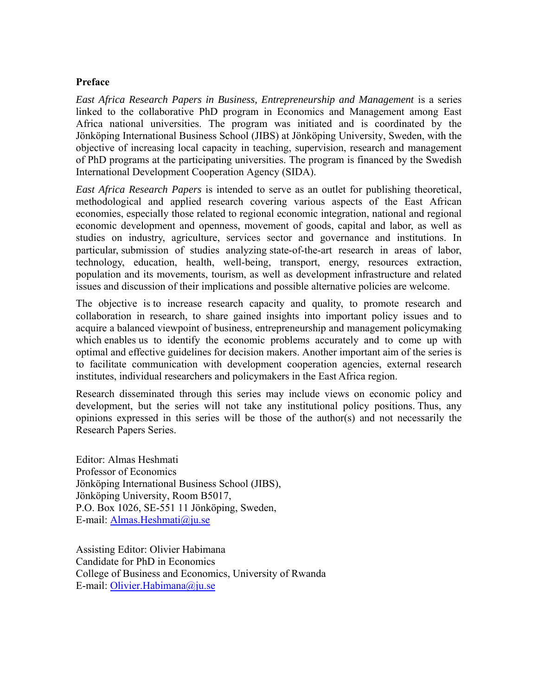# **Preface**

*East Africa Research Papers in Business, Entrepreneurship and Management* is a series linked to the collaborative PhD program in Economics and Management among East Africa national universities. The program was initiated and is coordinated by the Jönköping International Business School (JIBS) at Jönköping University, Sweden, with the objective of increasing local capacity in teaching, supervision, research and management of PhD programs at the participating universities. The program is financed by the Swedish International Development Cooperation Agency (SIDA).

*East Africa Research Papers* is intended to serve as an outlet for publishing theoretical, methodological and applied research covering various aspects of the East African economies, especially those related to regional economic integration, national and regional economic development and openness, movement of goods, capital and labor, as well as studies on industry, agriculture, services sector and governance and institutions. In particular, submission of studies analyzing state-of-the-art research in areas of labor, technology, education, health, well-being, transport, energy, resources extraction, population and its movements, tourism, as well as development infrastructure and related issues and discussion of their implications and possible alternative policies are welcome.

The objective is to increase research capacity and quality, to promote research and collaboration in research, to share gained insights into important policy issues and to acquire a balanced viewpoint of business, entrepreneurship and management policymaking which enables us to identify the economic problems accurately and to come up with optimal and effective guidelines for decision makers. Another important aim of the series is to facilitate communication with development cooperation agencies, external research institutes, individual researchers and policymakers in the East Africa region.

Research disseminated through this series may include views on economic policy and development, but the series will not take any institutional policy positions. Thus, any opinions expressed in this series will be those of the author(s) and not necessarily the Research Papers Series.

Editor: Almas Heshmati Professor of Economics Jönköping International Business School (JIBS), Jönköping University, Room B5017, P.O. Box 1026, SE-551 11 Jönköping, Sweden, E-mail: Almas.Heshmati@ju.se

Assisting Editor: Olivier Habimana Candidate for PhD in Economics College of Business and Economics, University of Rwanda E-mail: Olivier.Habimana@ju.se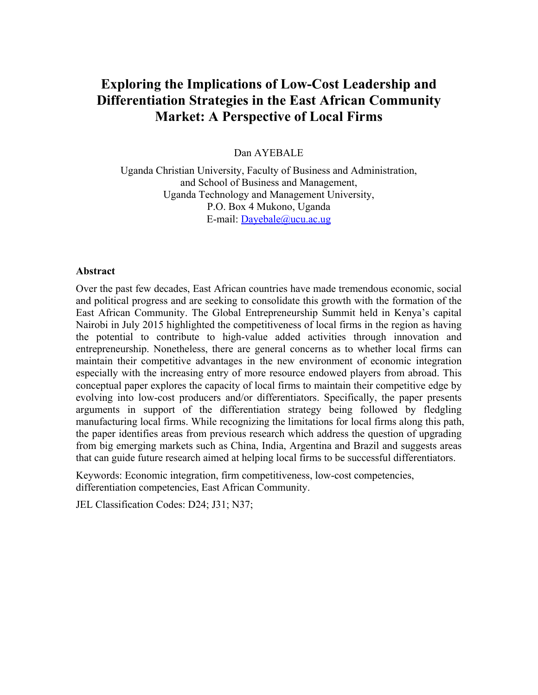# **Exploring the Implications of Low-Cost Leadership and Differentiation Strategies in the East African Community Market: A Perspective of Local Firms**

#### Dan AYEBALE

Uganda Christian University, Faculty of Business and Administration, and School of Business and Management, Uganda Technology and Management University, P.O. Box 4 Mukono, Uganda E-mail: Dayebale@ucu.ac.ug

#### **Abstract**

Over the past few decades, East African countries have made tremendous economic, social and political progress and are seeking to consolidate this growth with the formation of the East African Community. The Global Entrepreneurship Summit held in Kenya's capital Nairobi in July 2015 highlighted the competitiveness of local firms in the region as having the potential to contribute to high-value added activities through innovation and entrepreneurship. Nonetheless, there are general concerns as to whether local firms can maintain their competitive advantages in the new environment of economic integration especially with the increasing entry of more resource endowed players from abroad. This conceptual paper explores the capacity of local firms to maintain their competitive edge by evolving into low-cost producers and/or differentiators. Specifically, the paper presents arguments in support of the differentiation strategy being followed by fledgling manufacturing local firms. While recognizing the limitations for local firms along this path, the paper identifies areas from previous research which address the question of upgrading from big emerging markets such as China, India, Argentina and Brazil and suggests areas that can guide future research aimed at helping local firms to be successful differentiators.

Keywords: Economic integration, firm competitiveness, low-cost competencies, differentiation competencies, East African Community.

JEL Classification Codes: D24; J31; N37;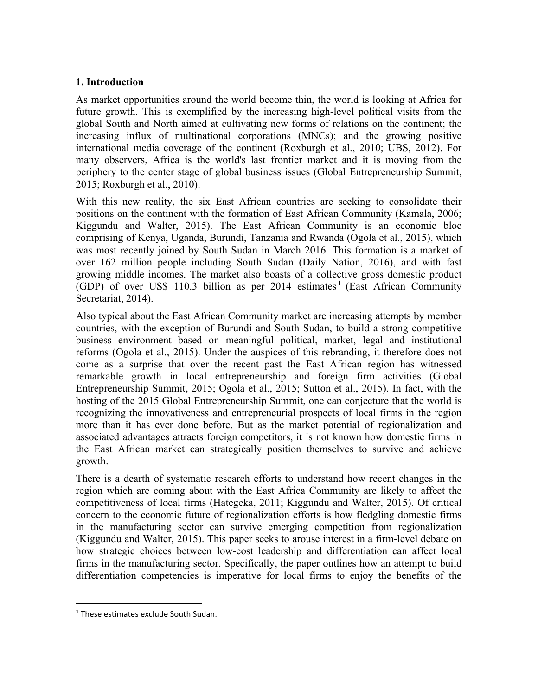# **1. Introduction**

As market opportunities around the world become thin, the world is looking at Africa for future growth. This is exemplified by the increasing high-level political visits from the global South and North aimed at cultivating new forms of relations on the continent; the increasing influx of multinational corporations (MNCs); and the growing positive international media coverage of the continent (Roxburgh et al., 2010; UBS, 2012). For many observers, Africa is the world's last frontier market and it is moving from the periphery to the center stage of global business issues (Global Entrepreneurship Summit, 2015; Roxburgh et al., 2010).

With this new reality, the six East African countries are seeking to consolidate their positions on the continent with the formation of East African Community (Kamala, 2006; Kiggundu and Walter, 2015). The East African Community is an economic bloc comprising of Kenya, Uganda, Burundi, Tanzania and Rwanda (Ogola et al., 2015), which was most recently joined by South Sudan in March 2016. This formation is a market of over 162 million people including South Sudan (Daily Nation, 2016), and with fast growing middle incomes. The market also boasts of a collective gross domestic product (GDP) of over US\$ 110.3 billion as per  $2014$  estimates<sup>1</sup> (East African Community Secretariat, 2014).

Also typical about the East African Community market are increasing attempts by member countries, with the exception of Burundi and South Sudan, to build a strong competitive business environment based on meaningful political, market, legal and institutional reforms (Ogola et al., 2015). Under the auspices of this rebranding, it therefore does not come as a surprise that over the recent past the East African region has witnessed remarkable growth in local entrepreneurship and foreign firm activities (Global Entrepreneurship Summit, 2015; Ogola et al., 2015; Sutton et al., 2015). In fact, with the hosting of the 2015 Global Entrepreneurship Summit, one can conjecture that the world is recognizing the innovativeness and entrepreneurial prospects of local firms in the region more than it has ever done before. But as the market potential of regionalization and associated advantages attracts foreign competitors, it is not known how domestic firms in the East African market can strategically position themselves to survive and achieve growth.

There is a dearth of systematic research efforts to understand how recent changes in the region which are coming about with the East Africa Community are likely to affect the competitiveness of local firms (Hategeka, 2011; Kiggundu and Walter, 2015). Of critical concern to the economic future of regionalization efforts is how fledgling domestic firms in the manufacturing sector can survive emerging competition from regionalization (Kiggundu and Walter, 2015). This paper seeks to arouse interest in a firm-level debate on how strategic choices between low-cost leadership and differentiation can affect local firms in the manufacturing sector. Specifically, the paper outlines how an attempt to build differentiation competencies is imperative for local firms to enjoy the benefits of the

 $\overline{a}$ 

<sup>&</sup>lt;sup>1</sup> These estimates exclude South Sudan.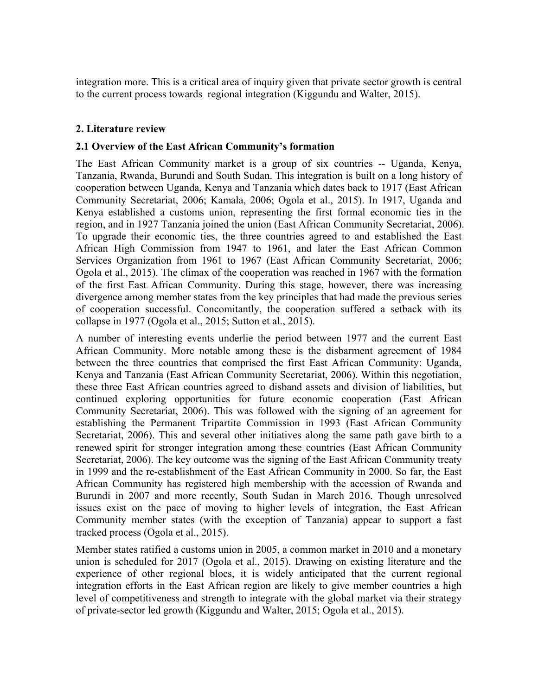integration more. This is a critical area of inquiry given that private sector growth is central to the current process towards regional integration (Kiggundu and Walter, 2015).

# **2. Literature review**

#### **2.1 Overview of the East African Community's formation**

The East African Community market is a group of six countries -- Uganda, Kenya, Tanzania, Rwanda, Burundi and South Sudan. This integration is built on a long history of cooperation between Uganda, Kenya and Tanzania which dates back to 1917 (East African Community Secretariat, 2006; Kamala, 2006; Ogola et al., 2015). In 1917, Uganda and Kenya established a customs union, representing the first formal economic ties in the region, and in 1927 Tanzania joined the union (East African Community Secretariat, 2006). To upgrade their economic ties, the three countries agreed to and established the East African High Commission from 1947 to 1961, and later the East African Common Services Organization from 1961 to 1967 (East African Community Secretariat, 2006; Ogola et al., 2015). The climax of the cooperation was reached in 1967 with the formation of the first East African Community. During this stage, however, there was increasing divergence among member states from the key principles that had made the previous series of cooperation successful. Concomitantly, the cooperation suffered a setback with its collapse in 1977 (Ogola et al., 2015; Sutton et al., 2015).

A number of interesting events underlie the period between 1977 and the current East African Community. More notable among these is the disbarment agreement of 1984 between the three countries that comprised the first East African Community: Uganda, Kenya and Tanzania (East African Community Secretariat, 2006). Within this negotiation, these three East African countries agreed to disband assets and division of liabilities, but continued exploring opportunities for future economic cooperation (East African Community Secretariat, 2006). This was followed with the signing of an agreement for establishing the Permanent Tripartite Commission in 1993 (East African Community Secretariat, 2006). This and several other initiatives along the same path gave birth to a renewed spirit for stronger integration among these countries (East African Community Secretariat, 2006). The key outcome was the signing of the East African Community treaty in 1999 and the re-establishment of the East African Community in 2000. So far, the East African Community has registered high membership with the accession of Rwanda and Burundi in 2007 and more recently, South Sudan in March 2016. Though unresolved issues exist on the pace of moving to higher levels of integration, the East African Community member states (with the exception of Tanzania) appear to support a fast tracked process (Ogola et al., 2015).

Member states ratified a customs union in 2005, a common market in 2010 and a monetary union is scheduled for 2017 (Ogola et al., 2015). Drawing on existing literature and the experience of other regional blocs, it is widely anticipated that the current regional integration efforts in the East African region are likely to give member countries a high level of competitiveness and strength to integrate with the global market via their strategy of private-sector led growth (Kiggundu and Walter, 2015; Ogola et al., 2015).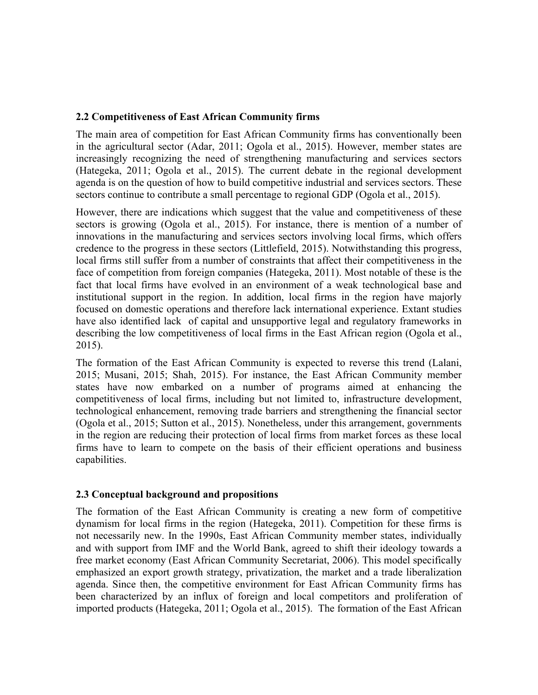#### **2.2 Competitiveness of East African Community firms**

The main area of competition for East African Community firms has conventionally been in the agricultural sector (Adar, 2011; Ogola et al., 2015). However, member states are increasingly recognizing the need of strengthening manufacturing and services sectors (Hategeka, 2011; Ogola et al., 2015). The current debate in the regional development agenda is on the question of how to build competitive industrial and services sectors. These sectors continue to contribute a small percentage to regional GDP (Ogola et al., 2015).

However, there are indications which suggest that the value and competitiveness of these sectors is growing (Ogola et al., 2015). For instance, there is mention of a number of innovations in the manufacturing and services sectors involving local firms, which offers credence to the progress in these sectors (Littlefield, 2015). Notwithstanding this progress, local firms still suffer from a number of constraints that affect their competitiveness in the face of competition from foreign companies (Hategeka, 2011). Most notable of these is the fact that local firms have evolved in an environment of a weak technological base and institutional support in the region. In addition, local firms in the region have majorly focused on domestic operations and therefore lack international experience. Extant studies have also identified lack of capital and unsupportive legal and regulatory frameworks in describing the low competitiveness of local firms in the East African region (Ogola et al., 2015).

The formation of the East African Community is expected to reverse this trend (Lalani, 2015; Musani, 2015; Shah, 2015). For instance, the East African Community member states have now embarked on a number of programs aimed at enhancing the competitiveness of local firms, including but not limited to, infrastructure development, technological enhancement, removing trade barriers and strengthening the financial sector (Ogola et al., 2015; Sutton et al., 2015). Nonetheless, under this arrangement, governments in the region are reducing their protection of local firms from market forces as these local firms have to learn to compete on the basis of their efficient operations and business capabilities.

# **2.3 Conceptual background and propositions**

The formation of the East African Community is creating a new form of competitive dynamism for local firms in the region (Hategeka, 2011). Competition for these firms is not necessarily new. In the 1990s, East African Community member states, individually and with support from IMF and the World Bank, agreed to shift their ideology towards a free market economy (East African Community Secretariat, 2006). This model specifically emphasized an export growth strategy, privatization, the market and a trade liberalization agenda. Since then, the competitive environment for East African Community firms has been characterized by an influx of foreign and local competitors and proliferation of imported products (Hategeka, 2011; Ogola et al., 2015). The formation of the East African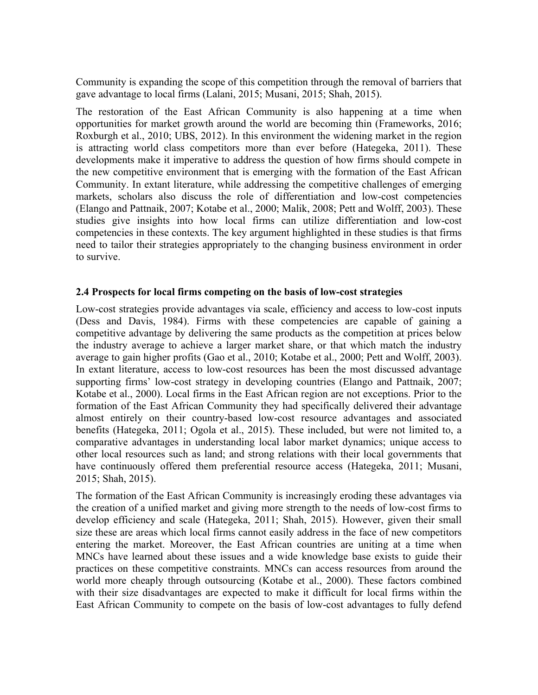Community is expanding the scope of this competition through the removal of barriers that gave advantage to local firms (Lalani, 2015; Musani, 2015; Shah, 2015).

The restoration of the East African Community is also happening at a time when opportunities for market growth around the world are becoming thin (Frameworks, 2016; Roxburgh et al., 2010; UBS, 2012). In this environment the widening market in the region is attracting world class competitors more than ever before (Hategeka, 2011). These developments make it imperative to address the question of how firms should compete in the new competitive environment that is emerging with the formation of the East African Community. In extant literature, while addressing the competitive challenges of emerging markets, scholars also discuss the role of differentiation and low-cost competencies (Elango and Pattnaik, 2007; Kotabe et al., 2000; Malik, 2008; Pett and Wolff, 2003). These studies give insights into how local firms can utilize differentiation and low-cost competencies in these contexts. The key argument highlighted in these studies is that firms need to tailor their strategies appropriately to the changing business environment in order to survive.

### **2.4 Prospects for local firms competing on the basis of low-cost strategies**

Low-cost strategies provide advantages via scale, efficiency and access to low-cost inputs (Dess and Davis, 1984). Firms with these competencies are capable of gaining a competitive advantage by delivering the same products as the competition at prices below the industry average to achieve a larger market share, or that which match the industry average to gain higher profits (Gao et al., 2010; Kotabe et al., 2000; Pett and Wolff, 2003). In extant literature, access to low-cost resources has been the most discussed advantage supporting firms' low-cost strategy in developing countries (Elango and Pattnaik, 2007; Kotabe et al., 2000). Local firms in the East African region are not exceptions. Prior to the formation of the East African Community they had specifically delivered their advantage almost entirely on their country-based low-cost resource advantages and associated benefits (Hategeka, 2011; Ogola et al., 2015). These included, but were not limited to, a comparative advantages in understanding local labor market dynamics; unique access to other local resources such as land; and strong relations with their local governments that have continuously offered them preferential resource access (Hategeka, 2011; Musani, 2015; Shah, 2015).

The formation of the East African Community is increasingly eroding these advantages via the creation of a unified market and giving more strength to the needs of low-cost firms to develop efficiency and scale (Hategeka, 2011; Shah, 2015). However, given their small size these are areas which local firms cannot easily address in the face of new competitors entering the market. Moreover, the East African countries are uniting at a time when MNCs have learned about these issues and a wide knowledge base exists to guide their practices on these competitive constraints. MNCs can access resources from around the world more cheaply through outsourcing (Kotabe et al., 2000). These factors combined with their size disadvantages are expected to make it difficult for local firms within the East African Community to compete on the basis of low-cost advantages to fully defend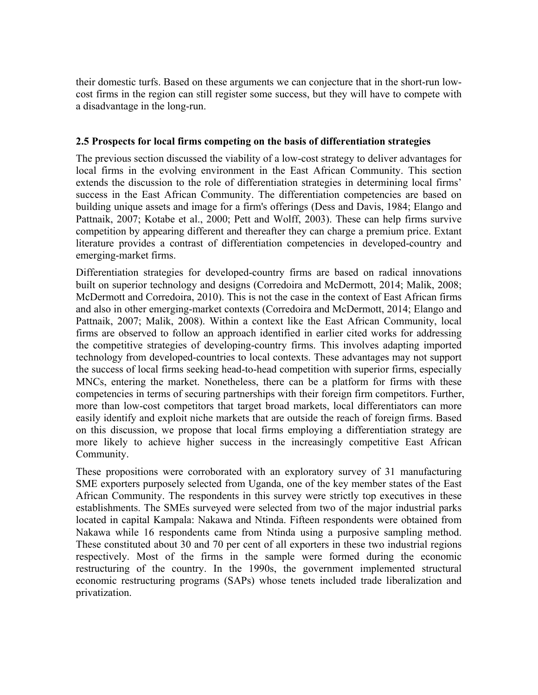their domestic turfs. Based on these arguments we can conjecture that in the short-run lowcost firms in the region can still register some success, but they will have to compete with a disadvantage in the long-run.

#### **2.5 Prospects for local firms competing on the basis of differentiation strategies**

The previous section discussed the viability of a low-cost strategy to deliver advantages for local firms in the evolving environment in the East African Community. This section extends the discussion to the role of differentiation strategies in determining local firms' success in the East African Community. The differentiation competencies are based on building unique assets and image for a firm's offerings (Dess and Davis, 1984; Elango and Pattnaik, 2007; Kotabe et al., 2000; Pett and Wolff, 2003). These can help firms survive competition by appearing different and thereafter they can charge a premium price. Extant literature provides a contrast of differentiation competencies in developed-country and emerging-market firms.

Differentiation strategies for developed-country firms are based on radical innovations built on superior technology and designs (Corredoira and McDermott, 2014; Malik, 2008; McDermott and Corredoira, 2010). This is not the case in the context of East African firms and also in other emerging-market contexts (Corredoira and McDermott, 2014; Elango and Pattnaik, 2007; Malik, 2008). Within a context like the East African Community, local firms are observed to follow an approach identified in earlier cited works for addressing the competitive strategies of developing-country firms. This involves adapting imported technology from developed-countries to local contexts. These advantages may not support the success of local firms seeking head-to-head competition with superior firms, especially MNCs, entering the market. Nonetheless, there can be a platform for firms with these competencies in terms of securing partnerships with their foreign firm competitors. Further, more than low-cost competitors that target broad markets, local differentiators can more easily identify and exploit niche markets that are outside the reach of foreign firms. Based on this discussion, we propose that local firms employing a differentiation strategy are more likely to achieve higher success in the increasingly competitive East African Community.

These propositions were corroborated with an exploratory survey of 31 manufacturing SME exporters purposely selected from Uganda, one of the key member states of the East African Community. The respondents in this survey were strictly top executives in these establishments. The SMEs surveyed were selected from two of the major industrial parks located in capital Kampala: Nakawa and Ntinda. Fifteen respondents were obtained from Nakawa while 16 respondents came from Ntinda using a purposive sampling method. These constituted about 30 and 70 per cent of all exporters in these two industrial regions respectively. Most of the firms in the sample were formed during the economic restructuring of the country. In the 1990s, the government implemented structural economic restructuring programs (SAPs) whose tenets included trade liberalization and privatization.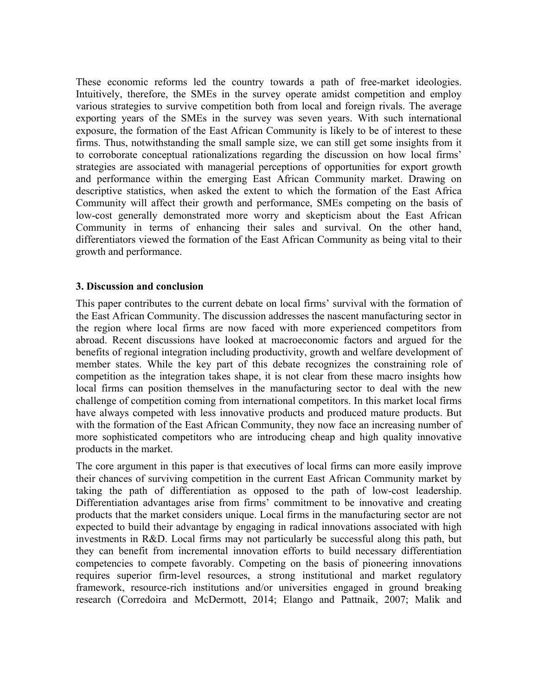These economic reforms led the country towards a path of free-market ideologies. Intuitively, therefore, the SMEs in the survey operate amidst competition and employ various strategies to survive competition both from local and foreign rivals. The average exporting years of the SMEs in the survey was seven years. With such international exposure, the formation of the East African Community is likely to be of interest to these firms. Thus, notwithstanding the small sample size, we can still get some insights from it to corroborate conceptual rationalizations regarding the discussion on how local firms' strategies are associated with managerial perceptions of opportunities for export growth and performance within the emerging East African Community market. Drawing on descriptive statistics, when asked the extent to which the formation of the East Africa Community will affect their growth and performance, SMEs competing on the basis of low-cost generally demonstrated more worry and skepticism about the East African Community in terms of enhancing their sales and survival. On the other hand, differentiators viewed the formation of the East African Community as being vital to their growth and performance.

#### **3. Discussion and conclusion**

This paper contributes to the current debate on local firms' survival with the formation of the East African Community. The discussion addresses the nascent manufacturing sector in the region where local firms are now faced with more experienced competitors from abroad. Recent discussions have looked at macroeconomic factors and argued for the benefits of regional integration including productivity, growth and welfare development of member states. While the key part of this debate recognizes the constraining role of competition as the integration takes shape, it is not clear from these macro insights how local firms can position themselves in the manufacturing sector to deal with the new challenge of competition coming from international competitors. In this market local firms have always competed with less innovative products and produced mature products. But with the formation of the East African Community, they now face an increasing number of more sophisticated competitors who are introducing cheap and high quality innovative products in the market.

The core argument in this paper is that executives of local firms can more easily improve their chances of surviving competition in the current East African Community market by taking the path of differentiation as opposed to the path of low-cost leadership. Differentiation advantages arise from firms' commitment to be innovative and creating products that the market considers unique. Local firms in the manufacturing sector are not expected to build their advantage by engaging in radical innovations associated with high investments in R&D. Local firms may not particularly be successful along this path, but they can benefit from incremental innovation efforts to build necessary differentiation competencies to compete favorably. Competing on the basis of pioneering innovations requires superior firm-level resources, a strong institutional and market regulatory framework, resource-rich institutions and/or universities engaged in ground breaking research (Corredoira and McDermott, 2014; Elango and Pattnaik, 2007; Malik and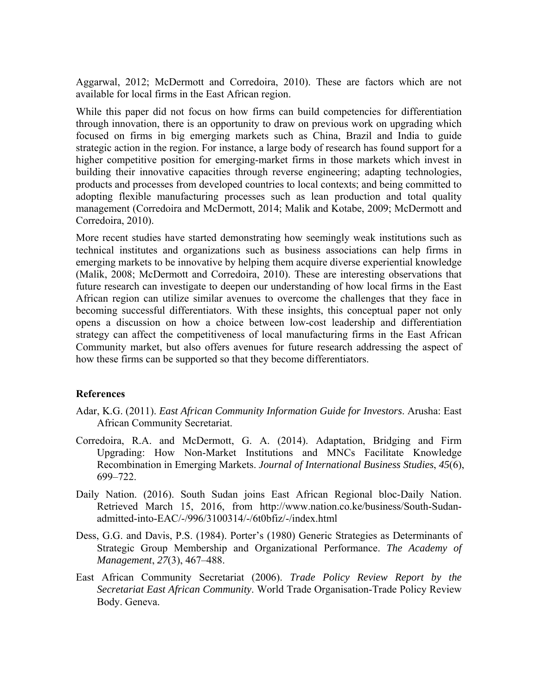Aggarwal, 2012; McDermott and Corredoira, 2010). These are factors which are not available for local firms in the East African region.

While this paper did not focus on how firms can build competencies for differentiation through innovation, there is an opportunity to draw on previous work on upgrading which focused on firms in big emerging markets such as China, Brazil and India to guide strategic action in the region. For instance, a large body of research has found support for a higher competitive position for emerging-market firms in those markets which invest in building their innovative capacities through reverse engineering; adapting technologies, products and processes from developed countries to local contexts; and being committed to adopting flexible manufacturing processes such as lean production and total quality management (Corredoira and McDermott, 2014; Malik and Kotabe, 2009; McDermott and Corredoira, 2010).

More recent studies have started demonstrating how seemingly weak institutions such as technical institutes and organizations such as business associations can help firms in emerging markets to be innovative by helping them acquire diverse experiential knowledge (Malik, 2008; McDermott and Corredoira, 2010). These are interesting observations that future research can investigate to deepen our understanding of how local firms in the East African region can utilize similar avenues to overcome the challenges that they face in becoming successful differentiators. With these insights, this conceptual paper not only opens a discussion on how a choice between low-cost leadership and differentiation strategy can affect the competitiveness of local manufacturing firms in the East African Community market, but also offers avenues for future research addressing the aspect of how these firms can be supported so that they become differentiators.

#### **References**

- Adar, K.G. (2011). *East African Community Information Guide for Investors*. Arusha: East African Community Secretariat.
- Corredoira, R.A. and McDermott, G. A. (2014). Adaptation, Bridging and Firm Upgrading: How Non-Market Institutions and MNCs Facilitate Knowledge Recombination in Emerging Markets. *Journal of International Business Studies*, *45*(6), 699–722.
- Daily Nation. (2016). South Sudan joins East African Regional bloc-Daily Nation. Retrieved March 15, 2016, from http://www.nation.co.ke/business/South-Sudanadmitted-into-EAC/-/996/3100314/-/6t0bfiz/-/index.html
- Dess, G.G. and Davis, P.S. (1984). Porter's (1980) Generic Strategies as Determinants of Strategic Group Membership and Organizational Performance. *The Academy of Management*, *27*(3), 467–488.
- East African Community Secretariat (2006). *Trade Policy Review Report by the Secretariat East African Community*. World Trade Organisation-Trade Policy Review Body. Geneva.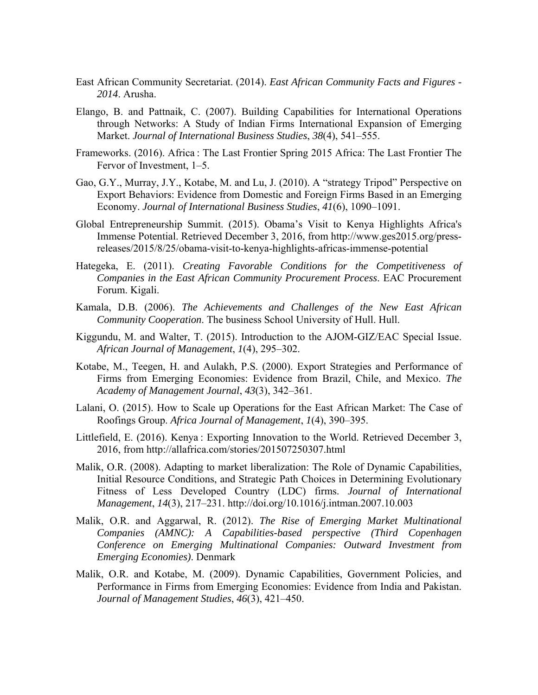- East African Community Secretariat. (2014). *East African Community Facts and Figures 2014*. Arusha.
- Elango, B. and Pattnaik, C. (2007). Building Capabilities for International Operations through Networks: A Study of Indian Firms International Expansion of Emerging Market. *Journal of International Business Studies*, *38*(4), 541–555.
- Frameworks. (2016). Africa : The Last Frontier Spring 2015 Africa: The Last Frontier The Fervor of Investment, 1–5.
- Gao, G.Y., Murray, J.Y., Kotabe, M. and Lu, J. (2010). A "strategy Tripod" Perspective on Export Behaviors: Evidence from Domestic and Foreign Firms Based in an Emerging Economy. *Journal of International Business Studies*, *41*(6), 1090–1091.
- Global Entrepreneurship Summit. (2015). Obama's Visit to Kenya Highlights Africa's Immense Potential. Retrieved December 3, 2016, from http://www.ges2015.org/pressreleases/2015/8/25/obama-visit-to-kenya-highlights-africas-immense-potential
- Hategeka, E. (2011). *Creating Favorable Conditions for the Competitiveness of Companies in the East African Community Procurement Process*. EAC Procurement Forum. Kigali.
- Kamala, D.B. (2006). *The Achievements and Challenges of the New East African Community Cooperation*. The business School University of Hull. Hull.
- Kiggundu, M. and Walter, T. (2015). Introduction to the AJOM-GIZ/EAC Special Issue. *African Journal of Management*, *1*(4), 295–302.
- Kotabe, M., Teegen, H. and Aulakh, P.S. (2000). Export Strategies and Performance of Firms from Emerging Economies: Evidence from Brazil, Chile, and Mexico. *The Academy of Management Journal*, *43*(3), 342–361.
- Lalani, O. (2015). How to Scale up Operations for the East African Market: The Case of Roofings Group. *Africa Journal of Management*, *1*(4), 390–395.
- Littlefield, E. (2016). Kenya : Exporting Innovation to the World. Retrieved December 3, 2016, from http://allafrica.com/stories/201507250307.html
- Malik, O.R. (2008). Adapting to market liberalization: The Role of Dynamic Capabilities, Initial Resource Conditions, and Strategic Path Choices in Determining Evolutionary Fitness of Less Developed Country (LDC) firms. *Journal of International Management*, *14*(3), 217–231. http://doi.org/10.1016/j.intman.2007.10.003
- Malik, O.R. and Aggarwal, R. (2012). *The Rise of Emerging Market Multinational Companies (AMNC): A Capabilities-based perspective (Third Copenhagen Conference on Emerging Multinational Companies: Outward Investment from Emerging Economies)*. Denmark
- Malik, O.R. and Kotabe, M. (2009). Dynamic Capabilities, Government Policies, and Performance in Firms from Emerging Economies: Evidence from India and Pakistan. *Journal of Management Studies*, *46*(3), 421–450.